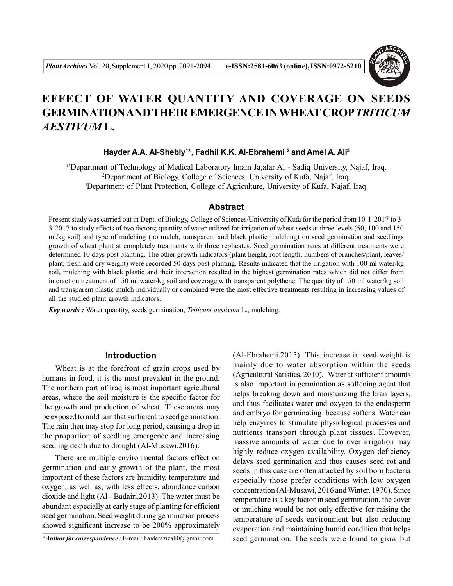

# **EFFECT OF WATER QUANTITY AND COVERAGE ON SEEDS GERMINATION AND THEIR EMERGENCE IN WHEAT CROP***TRITICUM AESTIVUM* **L.**

#### **Hayder A.A. Al-Shebly<sup>1</sup> \*, Fadhil K.K. Al-Ebrahemi <sup>2</sup> and Amel A. Ali<sup>3</sup>**

1\*Department of Technology of Medical Laboratory Imam Ja,afar Al - Sadiq University, Najaf, Iraq. <sup>2</sup>Department of Biology, College of Sciences, University of Kufa, Najaf, Iraq. <sup>3</sup>Department of Plant Protection, College of Agriculture, University of Kufa, Najaf, Iraq.

## **Abstract**

Present study was carried out in Dept. of Biology, College of Sciences/University of Kufa for the period from 10-1-2017 to 3- 3-2017 to study effects of two factors; quantity of water utilized for irrigation of wheat seeds at three levels (50, 100 and 150 ml/kg soil) and type of mulching (no mulch, transparent and black plastic mulching) on seed germination and seedlings growth of wheat plant at completely treatments with three replicates. Seed germination rates at different treatments were determined 10 days post planting. The other growth indicators (plant height, root length, numbers of branches/plant, leaves/ plant, fresh and dry weight) were recorded 50 days post planting. Results indicated that the irrigation with 100 ml water/kg soil, mulching with black plastic and their interaction resulted in the highest germination rates which did not differ from interaction treatment of 150 ml water/kg soil and coverage with transparent polythene. The quantity of 150 ml water/kg soil and transparent plastic mulch individually or combined were the most effective treatments resulting in increasing values of all the studied plant growth indicators.

*Key words :* Water quantity, seeds germination, *Triticum aestivum* L., mulching.

### **Introduction**

Wheat is at the forefront of grain crops used by humans in food, it is the most prevalent in the ground. The northern part of Iraq is most important agricultural areas, where the soil moisture is the specific factor for the growth and production of wheat. These areas may be exposed to mild rain that sufficient to seed germination. The rain then may stop for long period, causing a drop in the proportion of seedling emergence and increasing seedling death due to drought (Al-Musawi.2016).

There are multiple environmental factors effect on germination and early growth of the plant, the most important of these factors are humidity, temperature and oxygen, as well as, with less effects, abundance carbon dioxide and light (Al - Badairi.2013). The water must be abundant especially at early stage of planting for efficient seed germination. Seed weight during germination process showed significant increase to be 200% approximately

*\*Author for correspondence :* E-mail : haiderazizali0@gmail.com

(Al-Ebrahemi.2015). This increase in seed weight is mainly due to water absorption within the seeds (Agricultural Satistics, 2010). Water at sufficient amounts is also important in germination as softening agent that helps breaking down and moisturizing the bran layers, and thus facilitates water and oxygen to the endosperm and embryo for germinating because softens. Water can help enzymes to stimulate physiological processes and nutrients transport through plant tissues. However, massive amounts of water due to over irrigation may highly reduce oxygen availability. Oxygen deficiency delays seed germination and thus causes seed rot and seeds in this case are often attacked by soil born bacteria especially those prefer conditions with low oxygen concentration (Al-Musawi, 2016 and Winter, 1970). Since temperature is a key factor in seed germination, the cover or mulching would be not only effective for raising the temperature of seeds environment but also reducing evaporation and maintaining humid condition that helps seed germination. The seeds were found to grow but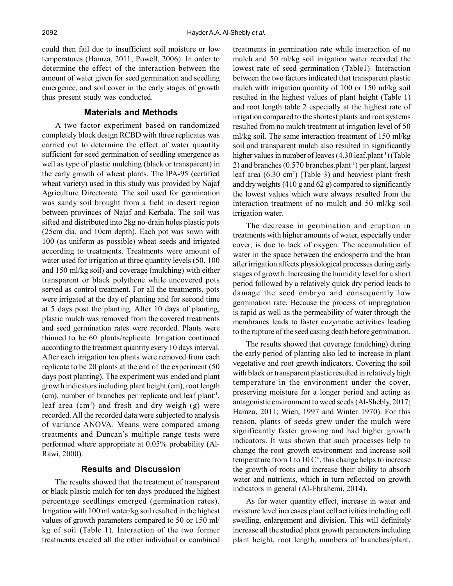could then fail due to insufficient soil moisture or low temperatures (Hamza, 2011; Powell, 2006). In order to determine the effect of the interaction between the amount of water given for seed germination and seedling emergence, and soil cover in the early stages of growth thus present study was conducted.

#### **Materials and Methods**

A two factor experiment based on randomized completely block design RCBD with three replicates was carried out to determine the effect of water quantity sufficient for seed germination of seedling emergence as well as type of plastic mulching (black or transparent) in the early growth of wheat plants. The IPA-95 (certified wheat variety) used in this study was provided by Najaf Agriculture Directorate. The soil used for germination was sandy soil brought from a field in desert region between provinces of Najaf and Kerbala. The soil was sifted and distributed into 2kg no-drain holes plastic pots (25cm dia. and 10cm depth). Each pot was sown with 100 (as uniform as possible) wheat seeds and irrigated according to treatments. Treatments were amount of water used for irrigation at three quantity levels (50, 100 and 150 ml/kg soil) and coverage (mulching) with either transparent or black polythene while uncovered pots served as control treatment. For all the treatments, pots were irrigated at the day of planting and for second time at 5 days post the planting. After 10 days of planting, plastic mulch was removed from the covered treatments and seed germination rates were recorded. Plants were thinned to be 60 plants/replicate. Irrigation continued according to the treatment quantity every 10 days interval. After each irrigation ten plants were removed from each replicate to be 20 plants at the end of the experiment (50 days post planting). The experiment was ended and plant growth indicators including plant height (cm), root length (cm), number of branches per replicate and leaf plant<sup>-1</sup>, leaf area (cm<sup>2</sup>) and fresh and dry weigh (g) were recorded. All the recorded data were subjected to analysis of variance ANOVA. Means were compared among treatments and Duncan's multiple range tests were performed where appropriate at 0.05% probability (Al-Rawi, 2000).

## **Results and Discussion**

The results showed that the treatment of transparent or black plastic mulch for ten days produced the highest percentage seedlings emerged (germination rates). Irrigation with 100 ml water/kg soil resulted in the highest values of growth parameters compared to 50 or 150 ml/ kg of soil (Table 1). Interaction of the two former treatments exceled all the other individual or combined treatments in germination rate while interaction of no mulch and 50 ml/kg soil irrigation water recorded the lowest rate of seed germination (Table1). Interaction between the two factors indicated that transparent plastic mulch with irrigation quantity of 100 or 150 ml/kg soil resulted in the highest values of plant height (Table 1) and root length table 2 especially at the highest rate of irrigation compared to the shortest plants and root systems resulted from no mulch treatment at irrigation level of 50 ml/kg soil. The same interaction treatment of 150 ml/kg soil and transparent mulch also resulted in significantly higher values in number of leaves (4.30 leaf.plant<sup>-1</sup>) (Table 2) and branches (0.570 branches.plant-1) per plant, largest leaf area (6.30 cm<sup>2</sup>) (Table 3) and heaviest plant fresh and dry weights (410 g and 62 g) compared to significantly the lowest values which were always resulted from the interaction treatment of no mulch and 50 ml/kg soil irrigation water.

The decrease in germination and eruption in treatments with higher amounts of water, especially under cover, is due to lack of oxygen. The accumulation of water in the space between the endosperm and the bran after irrigation affects physiological processes during early stages of growth. Increasing the humidity level for a short period followed by a relatively quick dry period leads to damage the seed embryo and consequently low germination rate. Because the process of impregnation is rapid as well as the permeability of water through the membranes leads to faster enzymatic activities leading to the rupture of the seed casing death before germination.

The results showed that coverage (mulching) during the early period of planting also led to increase in plant vegetative and root growth indicators. Covering the soil with black or transparent plastic resulted in relatively high temperature in the environment under the cover, preserving moisture for a longer period and acting as antagonistic environment to weed seeds (Al-Shebly, 2017; Hamza, 2011; Wien, 1997 and Winter 1970). For this reason, plants of seeds grew under the mulch were significantly faster growing and had higher growth indicators. It was shown that such processes help to change the root growth environment and increase soil temperature from 1 to 10 C°, this change helps to increase the growth of roots and increase their ability to absorb water and nutrients, which in turn reflected on growth indicators in general (Al-Ebrahemi, 2014).

As for water quantity effect, increase in water and moisture level increases plant cell activities including cell swelling, enlargement and division. This will definitely increase all the studied plant growth parameters including plant height, root length, numbers of branches/plant,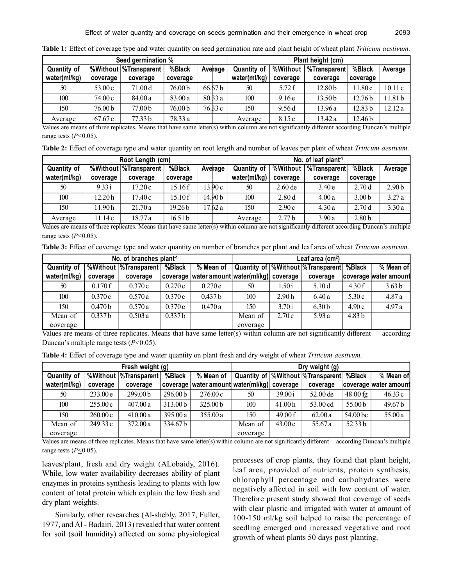| Seed germination % |          |                         |                    |  | Plant height (cm)  |                    |          |                     |                    |                   |
|--------------------|----------|-------------------------|--------------------|--|--------------------|--------------------|----------|---------------------|--------------------|-------------------|
| <b>Quantity of</b> |          | %Without   %Transparent | %Black             |  | Average            | <b>Quantity of</b> | %Without | <b>%Transparent</b> | %Black             | Average           |
| water(ml/kg)       | coverage | coverage                | coverage           |  |                    | water(ml/kg)       | coverage | coverage            | coverage           |                   |
| 50                 | 53.00e   | 71.00 <sub>d</sub>      | 76.00 <sub>b</sub> |  | 66.67 <sub>b</sub> | 50                 | 5.72f    | 12.80 <sub>b</sub>  | 11.80c             | 10.11c            |
| 100                | 74.00 c  | 84.00 a                 | 83.00a             |  | 80.33a             | 100                | 9.16e    | 13.50 <sub>b</sub>  | 12.76 <sub>b</sub> | 1.81 <sub>b</sub> |
| 150                | 76.00 b  | 77.00 b                 | 76.00 <sub>b</sub> |  | 76.33c             | 150                | 9.56d    | 13.96 a             | 12.83 <sub>b</sub> | 12.12 a           |
| Average            | 67.67 c  | 77.33 b                 | 78.33 a            |  |                    | Average            | 8.15 c   | 13.42 a             | 12.46 <sub>b</sub> |                   |

**Table 1:** Effect of coverage type and water quantity on seed germination rate and plant height of wheat plant *Triticum aestivum.*

Values are means of three replicates. Means that have same letter(s) within column are not significantly different according Duncan's multiple range tests (*P<*0.05).

**Table 2:** Effect of coverage type and water quantity on root length and number of leaves per plant of wheat *Triticum aestivum.*

| Root Length (cm)   |          |                         |                    |  |                    | No. of leaf plant <sup>1</sup> |                   |              |                   |                   |  |
|--------------------|----------|-------------------------|--------------------|--|--------------------|--------------------------------|-------------------|--------------|-------------------|-------------------|--|
| <b>Quantity of</b> |          | %Without   %Transparent | %Black             |  | Average            | Quantity of                    | %Without          | %Transparent | %Black            | Average           |  |
| water(ml/kg)       | coverage | coverage                | coverage           |  |                    | water(ml/kg)                   | coverage          | coverage     | coverage          |                   |  |
| 50                 | 9.33i    | 17.20 c                 | 15.16 f            |  | 13.90c             | 50                             | $2.60$ de         | 3.40e        | 2.70d             | 2.90 <sub>b</sub> |  |
| 100                | 12.20 h  | 17.40 c                 | 15.10 f            |  | 14.90 <sub>b</sub> | 100                            | 2.80d             | 4.00a        | 3.00 <sub>b</sub> | 3.27a             |  |
| 150                | 11.90 h  | 21.70a                  | 19.26 <sub>b</sub> |  | 17.62a             | 150                            | 2.90c             | 4.30a        | 2.70d             | 3.30a             |  |
| Average            | 11.14 c  | 18.77 a                 | 16.51 b            |  |                    | Average                        | 2.77 <sub>b</sub> | 3.90a        | 2.80 <sub>b</sub> |                   |  |

Values are means of three replicates. Means that have same letter(s) within column are not significantly different according Duncan's multiple range tests (*P<*0.05).

**Table 3:** Effect of coverage type and water quantity on number of branches per plant and leaf area of wheat *Triticum aestivum.*

|              | Leaf area $(cm2)$  |                        |                    |                                     |          |                   |                                              |                   |                       |
|--------------|--------------------|------------------------|--------------------|-------------------------------------|----------|-------------------|----------------------------------------------|-------------------|-----------------------|
| Quantity of  |                    | %Without  %Transparent | %Black             | $%$ Mean of                         |          |                   | Quantity of  %Without  %Transparent   %Black |                   | % Mean of             |
| water(ml/kg) | coverage           | coverage               | coverage           | water amount water(ml/kg)  coverage |          |                   | coverage                                     |                   | coverage water amount |
| 50           | 0.170f             | 0.370c                 | 0.270e             | 0.270c                              | 50       | .50 i             | 5.10 d                                       | 4.30f             | 3.63 <sub>b</sub>     |
| 100          | 0.370c             | 0.570a                 | 0.370c             | 0.437 <sub>b</sub>                  | 100      | 2.90 <sub>h</sub> | 6.40a                                        | 5.30c             | 4.87a                 |
| 150          | 0.470 <sub>b</sub> | 0.570a                 | 0.370c             | 0.470a                              | 150      | 3.70i             | 6.30 <sub>b</sub>                            | 4.90e             | 4.97a                 |
| Mean of      | 0.337 <sub>b</sub> | 0.503a                 | 0.337 <sub>b</sub> |                                     | Mean of  | 2.70c             | 5.93 a                                       | 4.83 <sub>b</sub> |                       |
| coverage     |                    |                        |                    |                                     | coverage |                   |                                              |                   |                       |

Values are means of three replicates. Means that have same letter(s) within column are not significantly different according Duncan's multiple range tests (*P<*0.05).

**Table 4:** Effect of coverage type and water quantity on plant fresh and dry weight of wheat *Triticum aestivum.*

|                    | Dry weight $(q)$ |                        |                     |                                     |          |         |                                     |            |                       |
|--------------------|------------------|------------------------|---------------------|-------------------------------------|----------|---------|-------------------------------------|------------|-----------------------|
| <b>Quantity of</b> |                  | %Without  %Transparent | %Black              | % Mean of                           |          |         | Quantity of  %Without  %Transparent | %Black     | % Mean of             |
| water(ml/kg)       | coverage         | coverage               | coverage            | water amount water(ml/kg)  coverage |          |         | coverage                            |            | coverage water amount |
| 50                 | 233.00e          | 299.00 <sub>b</sub>    | 296.00 <sub>b</sub> | 276.00c                             | 50       | 39.00 i | 52.00 de                            | $48.00$ fg | 46.33c                |
| 100                | 255.00c          | 407.00a                | 313.00 b            | 325.00 <sub>b</sub>                 | 100      | 41.00h  | 53.00 cd                            | 55.00 b    | 49.67b                |
| 150                | 260.00c          | 410.00a                | 395.00a             | 355.00a                             | 150      | 49.00 f | 62.00a                              | 54.00 bc   | 55.00 a               |
| Mean of            | 249.33c          | 372.00a                | 334.67 b            |                                     | Mean of  | 43.00c  | 55.67 a                             | 52.33 b    |                       |
| coverage           |                  |                        |                     |                                     | coverage |         |                                     |            |                       |

Values are means of three replicates. Means that have same letter(s) within column are not significantly different according Duncan's multiple range tests (*P<*0.05).

leaves/plant, fresh and dry weight (ALobaidy, 2016). While, low water availability decreases ability of plant enzymes in proteins synthesis leading to plants with low content of total protein which explain the low fresh and dry plant weights.

Similarly, other researches (Al-shebly, 2017, Fuller, 1977, and Al - Badairi, 2013) revealed that water content for soil (soil humidity) affected on some physiological processes of crop plants, they found that plant height, leaf area, provided of nutrients, protein synthesis, chlorophyll percentage and carbohydrates were negatively affected in soil with low content of water. Therefore present study showed that coverage of seeds with clear plastic and irrigated with water at amount of 100-150 ml/kg soil helped to raise the percentage of seedling emerged and increased vegetative and root growth of wheat plants 50 days post planting.